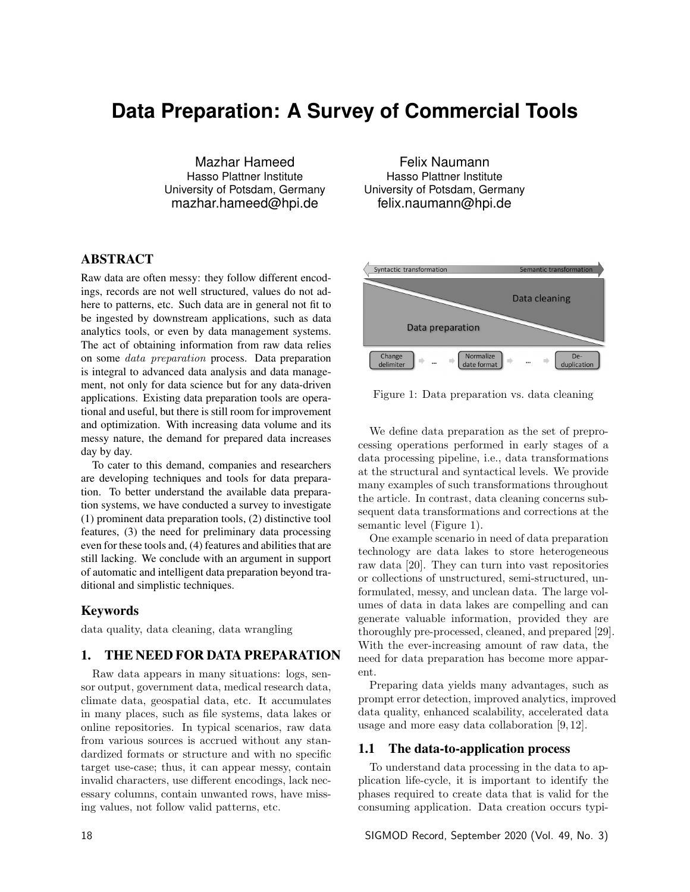# **Data Preparation: A Survey of Commercial Tools**

Mazhar Hameed Hasso Plattner Institute University of Potsdam, Germany mazhar.hameed@hpi.de

## ABSTRACT

Raw data are often messy: they follow different encodings, records are not well structured, values do not adhere to patterns, etc. Such data are in general not fit to be ingested by downstream applications, such as data analytics tools, or even by data management systems. The act of obtaining information from raw data relies on some *data preparation* process. Data preparation is integral to advanced data analysis and data management, not only for data science but for any data-driven applications. Existing data preparation tools are operational and useful, but there is still room for improvement and optimization. With increasing data volume and its messy nature, the demand for prepared data increases day by day.

To cater to this demand, companies and researchers are developing techniques and tools for data preparation. To better understand the available data preparation systems, we have conducted a survey to investigate (1) prominent data preparation tools, (2) distinctive tool features, (3) the need for preliminary data processing even for these tools and, (4) features and abilities that are still lacking. We conclude with an argument in support of automatic and intelligent data preparation beyond traditional and simplistic techniques.

#### Keywords

data quality, data cleaning, data wrangling

### 1. THE NEED FOR DATA PREPARATION

Raw data appears in many situations: logs, sensor output, government data, medical research data, climate data, geospatial data, etc. It accumulates in many places, such as file systems, data lakes or online repositories. In typical scenarios, raw data from various sources is accrued without any standardized formats or structure and with no specific target use-case; thus, it can appear messy, contain invalid characters, use different encodings, lack necessary columns, contain unwanted rows, have missing values, not follow valid patterns, etc.

Felix Naumann Hasso Plattner Institute University of Potsdam, Germany felix.naumann@hpi.de



Figure 1: Data preparation vs. data cleaning

We define data preparation as the set of preprocessing operations performed in early stages of a data processing pipeline, i.e., data transformations at the structural and syntactical levels. We provide many examples of such transformations throughout the article. In contrast, data cleaning concerns subsequent data transformations and corrections at the semantic level (Figure 1).

One example scenario in need of data preparation technology are data lakes to store heterogeneous raw data [20]. They can turn into vast repositories or collections of unstructured, semi-structured, unformulated, messy, and unclean data. The large volumes of data in data lakes are compelling and can generate valuable information, provided they are thoroughly pre-processed, cleaned, and prepared [29]. With the ever-increasing amount of raw data, the need for data preparation has become more apparent.

Preparing data yields many advantages, such as prompt error detection, improved analytics, improved data quality, enhanced scalability, accelerated data usage and more easy data collaboration [9, 12].

#### 1.1 The data-to-application process

To understand data processing in the data to application life-cycle, it is important to identify the phases required to create data that is valid for the consuming application. Data creation occurs typi-

18 SIGMOD Record, September 2020 (Vol. 49, No. 3)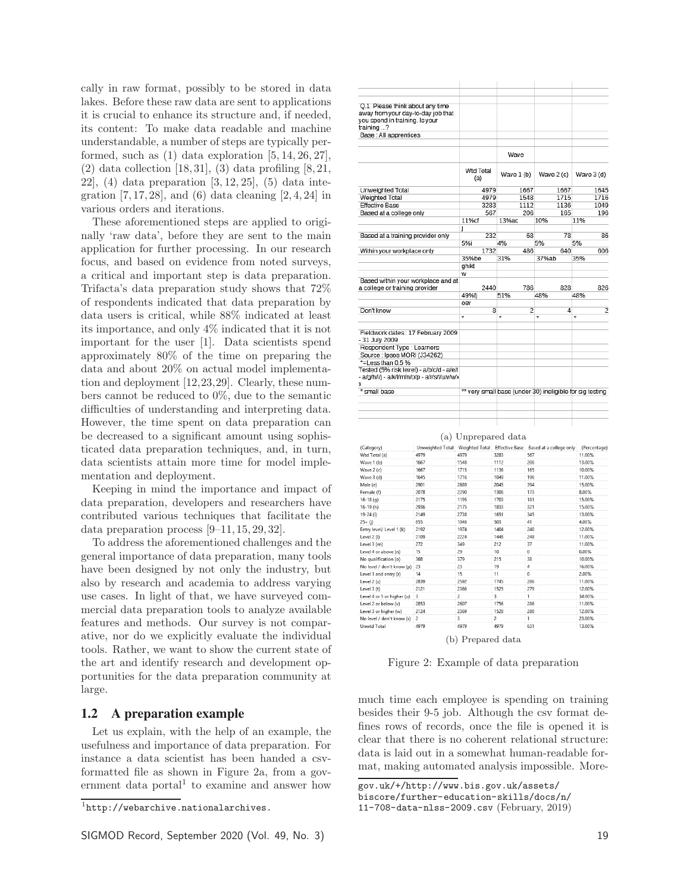cally in raw format, possibly to be stored in data lakes. Before these raw data are sent to applications it is crucial to enhance its structure and, if needed, its content: To make data readable and machine understandable, a number of steps are typically performed, such as  $(1)$  data exploration  $[5, 14, 26, 27]$ ,  $(2)$  data collection [18, 31],  $(3)$  data profiling [8, 21, 22,  $(4)$  data preparation  $[3, 12, 25]$ ,  $(5)$  data integration  $[7, 17, 28]$ , and  $(6)$  data cleaning  $[2, 4, 24]$  in various orders and iterations.

These aforementioned steps are applied to originally 'raw data', before they are sent to the main application for further processing. In our research focus, and based on evidence from noted surveys, a critical and important step is data preparation. Trifacta's data preparation study shows that 72% of respondents indicated that data preparation by data users is critical, while 88% indicated at least its importance, and only 4% indicated that it is not important for the user [1]. Data scientists spend approximately 80% of the time on preparing the data and about 20% on actual model implementation and deployment [12,23,29]. Clearly, these numbers cannot be reduced to 0%, due to the semantic difficulties of understanding and interpreting data. However, the time spent on data preparation can be decreased to a significant amount using sophisticated data preparation techniques, and, in turn, data scientists attain more time for model implementation and deployment.

Keeping in mind the importance and impact of data preparation, developers and researchers have contributed various techniques that facilitate the data preparation process [9–11, 15, 29, 32].

To address the aforementioned challenges and the general importance of data preparation, many tools have been designed by not only the industry, but also by research and academia to address varying use cases. In light of that, we have surveyed commercial data preparation tools to analyze available features and methods. Our survey is not comparative, nor do we explicitly evaluate the individual tools. Rather, we want to show the current state of the art and identify research and development opportunities for the data preparation community at large.

#### 1.2 A preparation example

Let us explain, with the help of an example, the usefulness and importance of data preparation. For instance a data scientist has been handed a csvformatted file as shown in Figure 2a, from a government data portal to examine and answer how

| you spend in training. Is your<br>training ? | O.1. Please think about any time<br>away from your day-to-day job that                    |                         |            |                                                                                     |                  |
|----------------------------------------------|-------------------------------------------------------------------------------------------|-------------------------|------------|-------------------------------------------------------------------------------------|------------------|
| Base : All apprentices                       |                                                                                           |                         |            |                                                                                     |                  |
|                                              |                                                                                           |                         | Wave       |                                                                                     |                  |
|                                              |                                                                                           | <b>Wtd Total</b><br>(a) | Wave 1 (b) | Wave $2(c)$                                                                         | Wave 3 (d)       |
| Unweighted Total                             |                                                                                           | 4979                    | 1667       | 1667                                                                                | 1645             |
| Weighted Total                               |                                                                                           | 4979                    | 1548       | 1715                                                                                | 1716             |
| <b>Effective Base</b>                        |                                                                                           | 3283                    | 1112       | 1136                                                                                | 1049             |
| Based at a college only                      |                                                                                           | 567                     |            | 206<br>165                                                                          | 196              |
|                                              |                                                                                           | 11%cf                   | 13%ac      | 10%                                                                                 | 11%              |
|                                              |                                                                                           | j                       |            |                                                                                     |                  |
|                                              | Based at a training provider only                                                         | 232                     |            | 68<br>78                                                                            | 86               |
|                                              |                                                                                           | 5%i                     | 4%         | 5%                                                                                  | 5%               |
| Within your workplace only                   |                                                                                           | 1732                    |            | 486<br>640                                                                          | 606              |
|                                              |                                                                                           | 35%be                   | 31%        | 37%ab                                                                               | 35%              |
|                                              |                                                                                           | ahikt                   |            |                                                                                     |                  |
|                                              | Based within your workplace and at                                                        | w                       |            |                                                                                     |                  |
| a college or training provider               |                                                                                           | 2440                    |            | 786<br>828                                                                          | 826              |
|                                              |                                                                                           | 49%fi                   | 51%        | 48%                                                                                 | 48%              |
|                                              |                                                                                           | 0SV                     |            |                                                                                     |                  |
| Don't know                                   |                                                                                           | 8                       |            | 2<br>4                                                                              | $\overline{c}$   |
|                                              |                                                                                           | $\overline{\ast}$       | ∓          | $\overline{\ast}$                                                                   | ÷                |
| - 31 July 2009                               | Fieldwork dates: 17 February 2009                                                         |                         |            |                                                                                     |                  |
| Respondent Type : Learners                   |                                                                                           |                         |            |                                                                                     |                  |
|                                              | Source : Ipsos MORI (J34262)                                                              |                         |            |                                                                                     |                  |
| *=Less than 0.5 %                            |                                                                                           |                         |            |                                                                                     |                  |
| X                                            | Tested (5% risk level) - a/b/c/d - a/e/l<br>- a/g/h/i/j - a/k/l/m/n/o/p - a/r/s/t/u/v/w/› |                         |            |                                                                                     |                  |
| * small base                                 |                                                                                           |                         |            | ** very small base (under 30) ineligible for sig testing                            |                  |
|                                              |                                                                                           |                         |            |                                                                                     |                  |
|                                              |                                                                                           | (a) Unprepared data     |            |                                                                                     |                  |
|                                              |                                                                                           |                         |            |                                                                                     |                  |
| (Category)<br>Wtd Total (a)                  | 4979                                                                                      | 4979                    | 3283       | Unweighted Total   Weighted Total   Effective Base   Based at a college only<br>567 | (Percentage)     |
| Wave 1 (b)                                   | 1667                                                                                      | 1548                    | 1112       | 206                                                                                 | 11.00%<br>13.00% |
| $ML = 264$                                   | 1657                                                                                      | 1715                    | 1136       | 165                                                                                 | 10,009/          |

| www.lordig <i>i</i>          | 4717 | 4717           | <b>JEUJ</b> | -        | 11.0070 |
|------------------------------|------|----------------|-------------|----------|---------|
| Wave 1 (b)                   | 1667 | 1548           | 1112        | 206      | 13.00%  |
| Wave 2 (c)                   | 1667 | 1715           | 1136        | 165      | 10.00%  |
| Wave 3 (d)                   | 1645 | 1716           | 1049        | 196      | 11.00%  |
| Male (e)                     | 2901 | 2689           | 2045        | 394      | 15.00%  |
| Female (f)                   | 2078 | 2290           | 1306        | 173      | 8.00%   |
| $16 - 18(q)$                 | 2175 | 1195           | 1703        | 181      | 15.00%  |
| 16-19 (h)                    | 2936 | 2175           | 1833        | 321      | 15.00%  |
| 19-24 (i)                    | 2149 | 2738           | 1651        | 345      | 13.00%  |
| $25 + (j)$                   | 655  | 1046           | 503         | 41       | 4.00%   |
| Entry level/ Level 1 (k)     | 2192 | 1974           | 1404        | 240      | 12.00%  |
| Level 2 (l)                  | 2109 | 2224           | 1448        | 248      | 11.00%  |
| Level 3 (m)                  | 272  | 349            | 212         | 37       | 11.00%  |
| Level 4 or above (n)         | 15   | 29             | 10          | 0        | 0.00%   |
| No qualification (o)         | 368  | 379            | 215         | 38       | 10.00%  |
| No level / don't know (p) 23 |      | 23             | 19          | 4        | 16.00%  |
| Level 1 and entry (r)        | 14   | 15             | 11          | $\Omega$ | 2.00%   |
| Level 2 (s)                  | 2839 | 2592           | 1745        | 286      | 11.00%  |
| Level 3 (t)                  | 2121 | 2366           | 1525        | 279      | 12.00%  |
| Level 4 or 5 or higher (u)   | 3    | $\overline{a}$ | 3           |          | 34.00%  |
| Level 2 or below (v)         | 2853 | 2607           | 1756        | 286      | 11.00%  |
| Level 3 or higher (w)        | 2124 | 2369           | 1528        | 280      | 12.00%  |
| No level / don't know (x)    | 2    | 3              | 2           |          | 23.00%  |
| Unwtd Total                  | 4979 | 4979           | 4979        | 631      | 13.00%  |

(b) Prepared data

Figure 2: Example of data preparation

much time each employee is spending on training besides their 9-5 job. Although the csv format defines rows of records, once the file is opened it is clear that there is no coherent relational structure: data is laid out in a somewhat human-readable format, making automated analysis impossible. More-

 $1$ http://webarchive.nationalarchives.

gov.uk/+/http://www.bis.gov.uk/assets/

biscore/further-education-skills/docs/n/

<sup>11-708-</sup>data-nlss-2009.csv (February, 2019)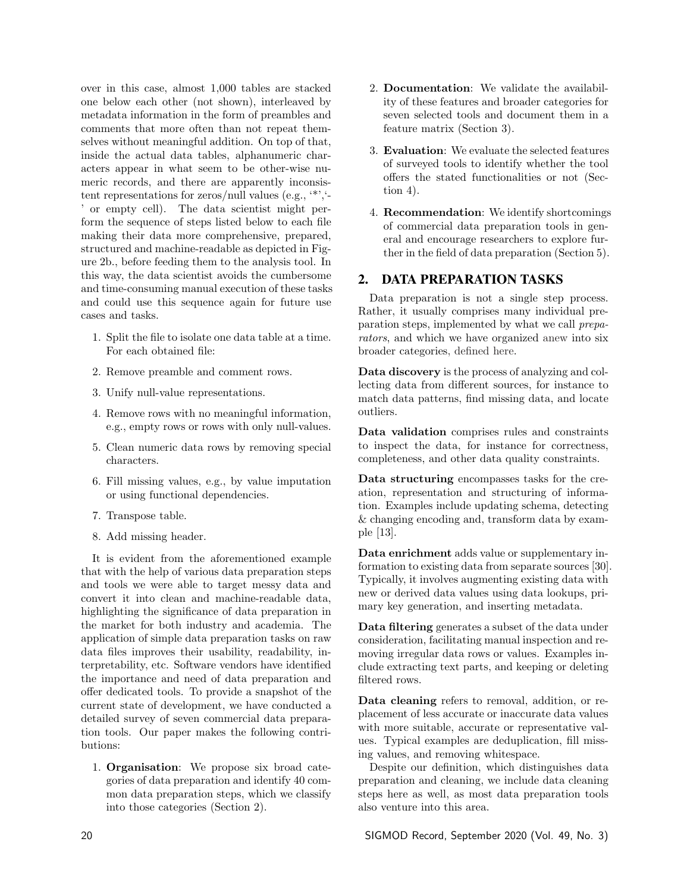over in this case, almost 1,000 tables are stacked one below each other (not shown), interleaved by metadata information in the form of preambles and comments that more often than not repeat themselves without meaningful addition. On top of that, inside the actual data tables, alphanumeric characters appear in what seem to be other-wise numeric records, and there are apparently inconsistent representations for zeros/null values (e.g., '\*','- ' or empty cell). The data scientist might perform the sequence of steps listed below to each file making their data more comprehensive, prepared, structured and machine-readable as depicted in Figure 2b., before feeding them to the analysis tool. In this way, the data scientist avoids the cumbersome and time-consuming manual execution of these tasks and could use this sequence again for future use cases and tasks.

- 1. Split the file to isolate one data table at a time. For each obtained file:
- 2. Remove preamble and comment rows.
- 3. Unify null-value representations.
- 4. Remove rows with no meaningful information, e.g., empty rows or rows with only null-values.
- 5. Clean numeric data rows by removing special characters.
- 6. Fill missing values, e.g., by value imputation or using functional dependencies.
- 7. Transpose table.
- 8. Add missing header.

It is evident from the aforementioned example that with the help of various data preparation steps and tools we were able to target messy data and convert it into clean and machine-readable data, highlighting the significance of data preparation in the market for both industry and academia. The application of simple data preparation tasks on raw data files improves their usability, readability, interpretability, etc. Software vendors have identified the importance and need of data preparation and offer dedicated tools. To provide a snapshot of the current state of development, we have conducted a detailed survey of seven commercial data preparation tools. Our paper makes the following contributions:

1. Organisation: We propose six broad categories of data preparation and identify 40 common data preparation steps, which we classify into those categories (Section 2).

- 2. Documentation: We validate the availability of these features and broader categories for seven selected tools and document them in a feature matrix (Section 3).
- 3. Evaluation: We evaluate the selected features of surveyed tools to identify whether the tool offers the stated functionalities or not (Section 4).
- 4. Recommendation: We identify shortcomings of commercial data preparation tools in general and encourage researchers to explore further in the field of data preparation (Section 5).

# 2. DATA PREPARATION TASKS

Data preparation is not a single step process. Rather, it usually comprises many individual preparation steps, implemented by what we call *preparators*, and which we have organized anew into six broader categories, defined here.

Data discovery is the process of analyzing and collecting data from different sources, for instance to match data patterns, find missing data, and locate outliers.

Data validation comprises rules and constraints to inspect the data, for instance for correctness, completeness, and other data quality constraints.

Data structuring encompasses tasks for the creation, representation and structuring of information. Examples include updating schema, detecting & changing encoding and, transform data by example [13].

Data enrichment adds value or supplementary information to existing data from separate sources [30]. Typically, it involves augmenting existing data with new or derived data values using data lookups, primary key generation, and inserting metadata.

Data filtering generates a subset of the data under consideration, facilitating manual inspection and removing irregular data rows or values. Examples include extracting text parts, and keeping or deleting filtered rows.

Data cleaning refers to removal, addition, or replacement of less accurate or inaccurate data values with more suitable, accurate or representative values. Typical examples are deduplication, fill missing values, and removing whitespace.

Despite our definition, which distinguishes data preparation and cleaning, we include data cleaning steps here as well, as most data preparation tools also venture into this area.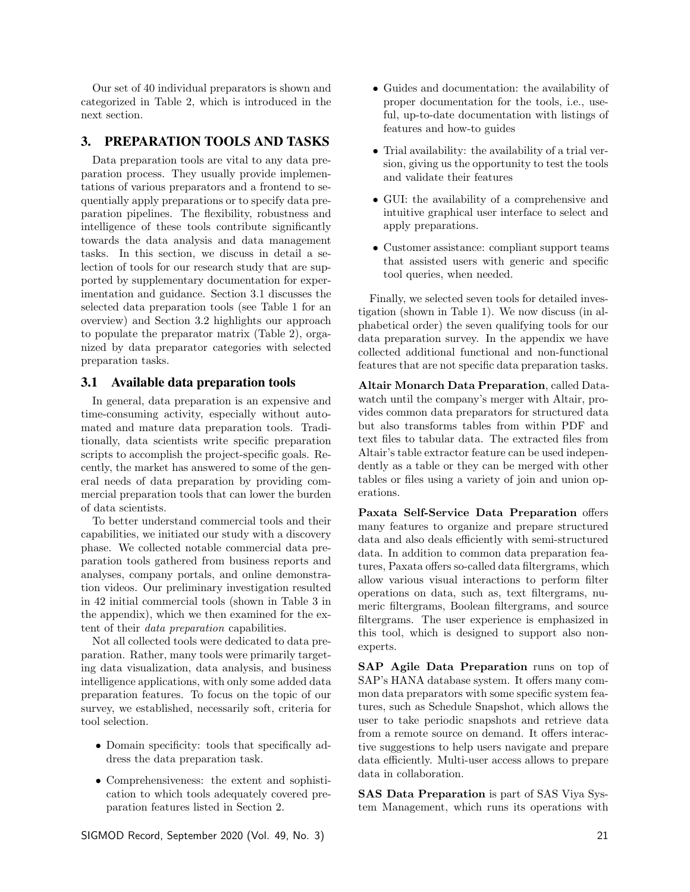Our set of 40 individual preparators is shown and categorized in Table 2, which is introduced in the next section.

## 3. PREPARATION TOOLS AND TASKS

Data preparation tools are vital to any data preparation process. They usually provide implementations of various preparators and a frontend to sequentially apply preparations or to specify data preparation pipelines. The flexibility, robustness and intelligence of these tools contribute significantly towards the data analysis and data management tasks. In this section, we discuss in detail a selection of tools for our research study that are supported by supplementary documentation for experimentation and guidance. Section 3.1 discusses the selected data preparation tools (see Table 1 for an overview) and Section 3.2 highlights our approach to populate the preparator matrix (Table 2), organized by data preparator categories with selected preparation tasks.

#### 3.1 Available data preparation tools

In general, data preparation is an expensive and time-consuming activity, especially without automated and mature data preparation tools. Traditionally, data scientists write specific preparation scripts to accomplish the project-specific goals. Recently, the market has answered to some of the general needs of data preparation by providing commercial preparation tools that can lower the burden of data scientists.

To better understand commercial tools and their capabilities, we initiated our study with a discovery phase. We collected notable commercial data preparation tools gathered from business reports and analyses, company portals, and online demonstration videos. Our preliminary investigation resulted in 42 initial commercial tools (shown in Table 3 in the appendix), which we then examined for the extent of their *data preparation* capabilities.

Not all collected tools were dedicated to data preparation. Rather, many tools were primarily targeting data visualization, data analysis, and business intelligence applications, with only some added data preparation features. To focus on the topic of our survey, we established, necessarily soft, criteria for tool selection.

- Domain specificity: tools that specifically address the data preparation task.
- *•* Comprehensiveness: the extent and sophistication to which tools adequately covered preparation features listed in Section 2.

SIGMOD Record, September 2020 (Vol. 49, No. 3) 21

- Guides and documentation: the availability of proper documentation for the tools, i.e., useful, up-to-date documentation with listings of features and how-to guides
- *•* Trial availability: the availability of a trial version, giving us the opportunity to test the tools and validate their features
- *•* GUI: the availability of a comprehensive and intuitive graphical user interface to select and apply preparations.
- *•* Customer assistance: compliant support teams that assisted users with generic and specific tool queries, when needed.

Finally, we selected seven tools for detailed investigation (shown in Table 1). We now discuss (in alphabetical order) the seven qualifying tools for our data preparation survey. In the appendix we have collected additional functional and non-functional features that are not specific data preparation tasks.

Altair Monarch Data Preparation, called Datawatch until the company's merger with Altair, provides common data preparators for structured data but also transforms tables from within PDF and text files to tabular data. The extracted files from Altair's table extractor feature can be used independently as a table or they can be merged with other tables or files using a variety of join and union operations.

Paxata Self-Service Data Preparation offers many features to organize and prepare structured data and also deals efficiently with semi-structured data. In addition to common data preparation features, Paxata offers so-called data filtergrams, which allow various visual interactions to perform filter operations on data, such as, text filtergrams, numeric filtergrams, Boolean filtergrams, and source filtergrams. The user experience is emphasized in this tool, which is designed to support also nonexperts.

SAP Agile Data Preparation runs on top of SAP's HANA database system. It offers many common data preparators with some specific system features, such as Schedule Snapshot, which allows the user to take periodic snapshots and retrieve data from a remote source on demand. It offers interactive suggestions to help users navigate and prepare data efficiently. Multi-user access allows to prepare data in collaboration.

SAS Data Preparation is part of SAS Viya System Management, which runs its operations with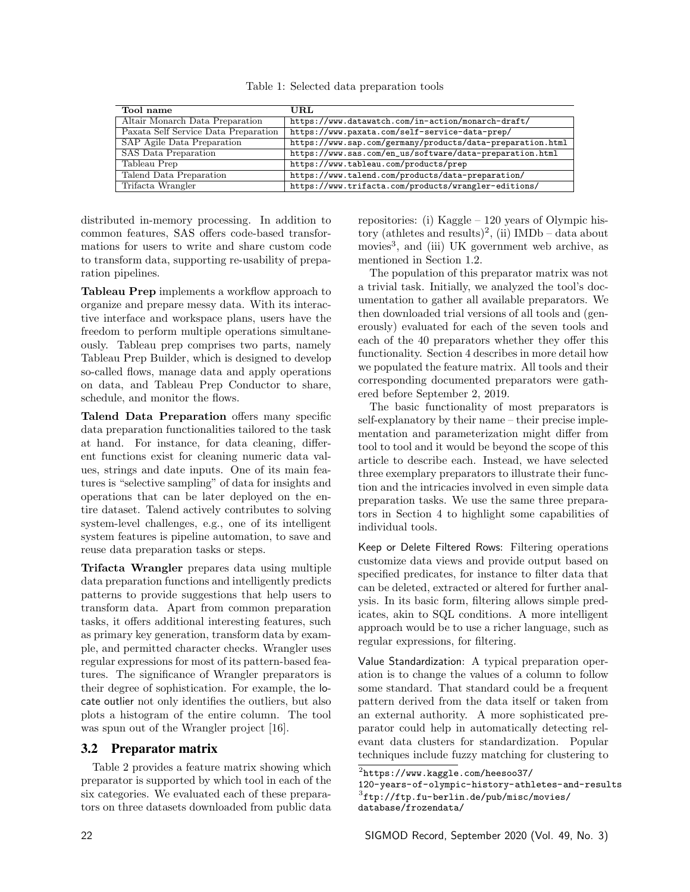Table 1: Selected data preparation tools

| Tool name                            | URL.                                                       |
|--------------------------------------|------------------------------------------------------------|
| Altair Monarch Data Preparation      | https://www.datawatch.com/in-action/monarch-draft/         |
| Paxata Self Service Data Preparation | https://www.paxata.com/self-service-data-prep/             |
| SAP Agile Data Preparation           | https://www.sap.com/germany/products/data-preparation.html |
| SAS Data Preparation                 | https://www.sas.com/en_us/software/data-preparation.html   |
| Tableau Prep                         | https://www.tableau.com/products/prep                      |
| Talend Data Preparation              | https://www.talend.com/products/data-preparation/          |
| Trifacta Wrangler                    | https://www.trifacta.com/products/wrangler-editions/       |

distributed in-memory processing. In addition to common features, SAS offers code-based transformations for users to write and share custom code to transform data, supporting re-usability of preparation pipelines.

Tableau Prep implements a workflow approach to organize and prepare messy data. With its interactive interface and workspace plans, users have the freedom to perform multiple operations simultaneously. Tableau prep comprises two parts, namely Tableau Prep Builder, which is designed to develop so-called flows, manage data and apply operations on data, and Tableau Prep Conductor to share, schedule, and monitor the flows.

Talend Data Preparation offers many specific data preparation functionalities tailored to the task at hand. For instance, for data cleaning, different functions exist for cleaning numeric data values, strings and date inputs. One of its main features is "selective sampling" of data for insights and operations that can be later deployed on the entire dataset. Talend actively contributes to solving system-level challenges, e.g., one of its intelligent system features is pipeline automation, to save and reuse data preparation tasks or steps.

Trifacta Wrangler prepares data using multiple data preparation functions and intelligently predicts patterns to provide suggestions that help users to transform data. Apart from common preparation tasks, it offers additional interesting features, such as primary key generation, transform data by example, and permitted character checks. Wrangler uses regular expressions for most of its pattern-based features. The significance of Wrangler preparators is their degree of sophistication. For example, the locate outlier not only identifies the outliers, but also plots a histogram of the entire column. The tool was spun out of the Wrangler project [16].

#### 3.2 Preparator matrix

Table 2 provides a feature matrix showing which preparator is supported by which tool in each of the six categories. We evaluated each of these preparators on three datasets downloaded from public data repositories: (i) Kaggle – 120 years of Olympic history (athletes and results)<sup>2</sup>, (ii) IMDb – data about movies<sup>3</sup>, and (iii) UK government web archive, as mentioned in Section 1.2.

The population of this preparator matrix was not a trivial task. Initially, we analyzed the tool's documentation to gather all available preparators. We then downloaded trial versions of all tools and (generously) evaluated for each of the seven tools and each of the 40 preparators whether they offer this functionality. Section 4 describes in more detail how we populated the feature matrix. All tools and their corresponding documented preparators were gathered before September 2, 2019.

The basic functionality of most preparators is self-explanatory by their name – their precise implementation and parameterization might differ from tool to tool and it would be beyond the scope of this article to describe each. Instead, we have selected three exemplary preparators to illustrate their function and the intricacies involved in even simple data preparation tasks. We use the same three preparators in Section 4 to highlight some capabilities of individual tools.

Keep or Delete Filtered Rows: Filtering operations customize data views and provide output based on specified predicates, for instance to filter data that can be deleted, extracted or altered for further analysis. In its basic form, filtering allows simple predicates, akin to SQL conditions. A more intelligent approach would be to use a richer language, such as regular expressions, for filtering.

Value Standardization: A typical preparation operation is to change the values of a column to follow some standard. That standard could be a frequent pattern derived from the data itself or taken from an external authority. A more sophisticated preparator could help in automatically detecting relevant data clusters for standardization. Popular techniques include fuzzy matching for clustering to

<sup>2</sup>https://www.kaggle.com/heesoo37/

<sup>120-</sup>years-of-olympic-history-athletes-and-results  ${}^{3}$ ftp://ftp.fu-berlin.de/pub/misc/movies/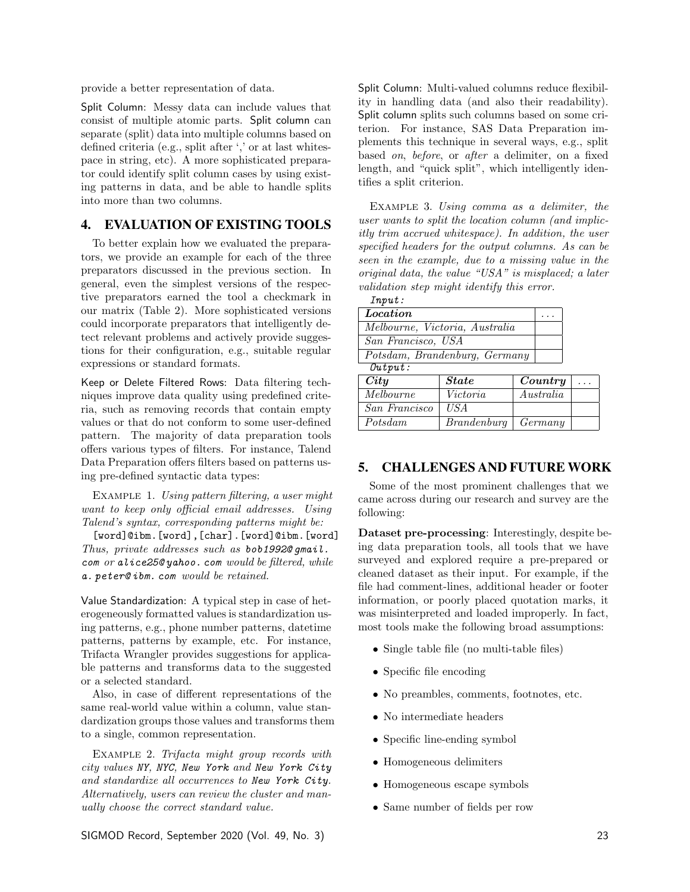provide a better representation of data.

Split Column: Messy data can include values that consist of multiple atomic parts. Split column can separate (split) data into multiple columns based on defined criteria (e.g., split after ',' or at last whitespace in string, etc). A more sophisticated preparator could identify split column cases by using existing patterns in data, and be able to handle splits into more than two columns.

# 4. EVALUATION OF EXISTING TOOLS

To better explain how we evaluated the preparators, we provide an example for each of the three preparators discussed in the previous section. In general, even the simplest versions of the respective preparators earned the tool a checkmark in our matrix (Table 2). More sophisticated versions could incorporate preparators that intelligently detect relevant problems and actively provide suggestions for their configuration, e.g., suitable regular expressions or standard formats.

Keep or Delete Filtered Rows: Data filtering techniques improve data quality using predefined criteria, such as removing records that contain empty values or that do not conform to some user-defined pattern. The majority of data preparation tools offers various types of filters. For instance, Talend Data Preparation offers filters based on patterns using pre-defined syntactic data types:

Example 1. *Using pattern filtering, a user might want to keep only ocial email addresses. Using Talend's syntax, corresponding patterns might be:*

[word]@ibm.[word],[char].[word]@ibm.[word] *Thus, private addresses such as bob1992@ gmail. com or alice25@ yahoo. com would be filtered, while a. peter@ ibm. com would be retained.*

Value Standardization: A typical step in case of heterogeneously formatted values is standardization using patterns, e.g., phone number patterns, datetime patterns, patterns by example, etc. For instance, Trifacta Wrangler provides suggestions for applicable patterns and transforms data to the suggested or a selected standard.

Also, in case of different representations of the same real-world value within a column, value standardization groups those values and transforms them to a single, common representation.

Example 2. *Trifacta might group records with city values NY, NYC, New York and New York City and standardize all occurrences to New York City. Alternatively, users can review the cluster and manually choose the correct standard value.*

Split Column: Multi-valued columns reduce flexibility in handling data (and also their readability). Split column splits such columns based on some criterion. For instance, SAS Data Preparation implements this technique in several ways, e.g., split based *on*, *before*, or *after* a delimiter, on a fixed length, and "quick split", which intelligently identifies a split criterion.

Example 3. *Using comma as a delimiter, the user wants to split the location column (and implicitly trim accrued whitespace). In addition, the user specified headers for the output columns. As can be seen in the example, due to a missing value in the original data, the value "USA" is misplaced; a later validation step might identify this error.*

| Input:                         |  |
|--------------------------------|--|
| <i>Location</i>                |  |
| Melbourne, Victoria, Australia |  |
| San Francisco, USA             |  |
| Potsdam, Brandenburg, Germany  |  |
| $\Omega$ utmut $\cdot$         |  |

| City             | <b>State</b>               | Country   | $\cdots$ |
|------------------|----------------------------|-----------|----------|
| <i>Melbourne</i> | Victoria                   | Australia |          |
| San Francisco    | US A                       |           |          |
| Potsdam          | $Brandenburg \mid Germany$ |           |          |

## 5. CHALLENGES AND FUTURE WORK

Some of the most prominent challenges that we came across during our research and survey are the following:

Dataset pre-processing: Interestingly, despite being data preparation tools, all tools that we have surveyed and explored require a pre-prepared or cleaned dataset as their input. For example, if the file had comment-lines, additional header or footer information, or poorly placed quotation marks, it was misinterpreted and loaded improperly. In fact, most tools make the following broad assumptions:

- *•* Single table file (no multi-table files)
- *•* Specific file encoding
- No preambles, comments, footnotes, etc.
- *•* No intermediate headers
- Specific line-ending symbol
- *•* Homogeneous delimiters
- *•* Homogeneous escape symbols
- *•* Same number of fields per row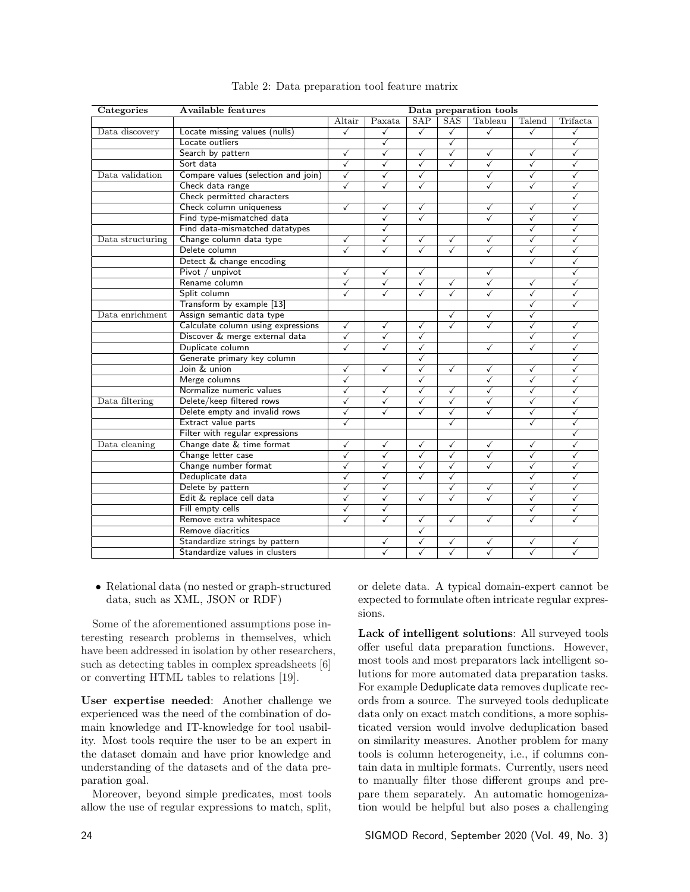| Categories       | <b>Available features</b>           |              |                         |                         |                         | Data preparation tools |                         |              |
|------------------|-------------------------------------|--------------|-------------------------|-------------------------|-------------------------|------------------------|-------------------------|--------------|
|                  |                                     | Altair       | Paxata                  | SAP                     | <b>SAS</b>              | Tableau                | Talend                  | Trifacta     |
| Data discovery   | Locate missing values (nulls)       | ✓            | ✓                       | ✓                       | ✓                       | ✓                      | ✓                       | ✓            |
|                  | Locate outliers                     |              | ✓                       |                         | $\overline{\checkmark}$ |                        |                         | ✓            |
|                  | Search by pattern                   | ✓            | $\overline{\checkmark}$ | $\sqrt{}$               | $\overline{\checkmark}$ | ✓                      | ✓                       | $\checkmark$ |
|                  | Sort data                           | ✓            | ✓                       | ✓                       | ✓                       | ✓                      | ✓                       | ✓            |
| Data validation  | Compare values (selection and join) | ✓            | ✓                       | ✓                       |                         | ✓                      | ✓                       | ✓            |
|                  | Check data range                    | $\checkmark$ | ✓                       | ✓                       |                         | ✓                      | ✓                       | ✓            |
|                  | Check permitted characters          |              |                         |                         |                         |                        |                         | ✓            |
|                  | Check column uniqueness             | ✓            | ✓                       | ✓                       |                         | ✓                      | ✓                       | ✓            |
|                  | Find type-mismatched data           |              | ✓                       | ✓                       |                         | ✓                      | ✓                       | ✓            |
|                  | Find data-mismatched datatypes      |              | ✓                       |                         |                         |                        | ✓                       | ✓            |
| Data structuring | Change column data type             | $\checkmark$ | ✓                       | $\checkmark$            | $\checkmark$            | ✓                      | $\checkmark$            | ✓            |
|                  | Delete column                       | ✓            | ✓                       | ✓                       | ✓                       | ✓                      | ✓                       | √            |
|                  | Detect & change encoding            |              |                         |                         |                         |                        | ✓                       | ✓            |
|                  | Pivot / unpivot                     | ✓            | ✓                       | ✓                       |                         | ✓                      |                         | ✓            |
|                  | Rename column                       | $\checkmark$ | $\checkmark$            | $\checkmark$            | $\checkmark$            | ✓                      | ✓                       | ✓            |
|                  | Split column                        | ✓            | ✓                       | $\checkmark$            | ✓                       | ✓                      | ✓                       | ✓            |
|                  | Transform by example [13]           |              |                         |                         |                         |                        | ✓                       |              |
| Data enrichment  | Assign semantic data type           |              |                         |                         | $\checkmark$            | ✓                      | ✓                       |              |
|                  | Calculate column using expressions  | $\checkmark$ | ✓                       | ✓                       | $\overline{\checkmark}$ | $\checkmark$           | $\checkmark$            | ✓            |
|                  | Discover & merge external data      | ✓            | ✓                       | $\checkmark$            |                         |                        | ✓                       | ✓            |
|                  | Duplicate column                    | ✓            | ✓                       | ✓                       |                         | ✓                      | ✓                       | ✓            |
|                  | Generate primary key column         |              |                         | $\checkmark$            |                         |                        |                         | ✓            |
|                  | Join & union                        | ✓            | ✓                       | ✓                       | $\sqrt{}$               | ✓                      | ✓                       | ✓            |
|                  | Merge columns                       | ✓            |                         | ✓                       |                         | ✓                      | ✓                       | ✓            |
|                  | Normalize numeric values            | ✓            | ✓                       | ✓                       | ✓                       | ✓                      | ✓                       | √            |
| Data filtering   | Delete/keep filtered rows           | $\checkmark$ | ✓                       | ✓                       | $\checkmark$            | ✓                      | ✓                       | ✓            |
|                  | Delete empty and invalid rows       | ✓            | ✓                       | ✓                       | $\overline{\checkmark}$ | ✓                      | ✓                       | ✓            |
|                  | Extract value parts                 | ✓            |                         |                         | ✓                       |                        | ✓                       | ✓            |
|                  | Filter with regular expressions     |              |                         |                         |                         |                        |                         | √            |
| Data cleaning    | Change date & time format           | ✓            | ✓                       | $\checkmark$            | ✓                       | ✓                      | ✓                       | ✓            |
|                  | Change letter case                  | ✓            | $\overline{\checkmark}$ | $\overline{\checkmark}$ | $\overline{\checkmark}$ | ✓                      | $\overline{\checkmark}$ | ✓            |
|                  | Change number format                | ✓            | ✓                       | ✓                       | ✓                       | ✓                      | ✓                       | √            |
|                  | Deduplicate data                    | ✓            | ✓                       | ✓                       | ✓                       |                        | ✓                       | ✓            |
|                  | Delete by pattern                   | ✓            | ✓                       |                         | ✓                       | ✓                      | ✓                       | ✓            |
|                  | Edit & replace cell data            | ✓            | ✓                       | $\checkmark$            | ✓                       | ✓                      | ✓                       | ✓            |
|                  | Fill empty cells                    | ✓            | ✓                       |                         |                         |                        | ✓                       | ✓            |
|                  | Remove extra whitespace             | ✓            | ✓                       | ✓                       | ✓                       | ✓                      | ✓                       |              |
|                  | Remove diacritics                   |              |                         | ✓                       |                         |                        |                         |              |
|                  | Standardize strings by pattern      |              | ✓                       | √                       | ✓                       | ✓                      | ✓                       |              |
|                  | Standardize values in clusters      |              | ✓                       | ✓                       | ✓                       | ✓                      | ✓                       |              |

#### Table 2: Data preparation tool feature matrix

• Relational data (no nested or graph-structured data, such as XML, JSON or RDF)

Some of the aforementioned assumptions pose interesting research problems in themselves, which have been addressed in isolation by other researchers, such as detecting tables in complex spreadsheets [6] or converting HTML tables to relations [19].

User expertise needed: Another challenge we experienced was the need of the combination of domain knowledge and IT-knowledge for tool usability. Most tools require the user to be an expert in the dataset domain and have prior knowledge and understanding of the datasets and of the data preparation goal.

Moreover, beyond simple predicates, most tools allow the use of regular expressions to match, split, or delete data. A typical domain-expert cannot be expected to formulate often intricate regular expressions.

Lack of intelligent solutions: All surveyed tools offer useful data preparation functions. However, most tools and most preparators lack intelligent solutions for more automated data preparation tasks. For example Deduplicate data removes duplicate records from a source. The surveyed tools deduplicate data only on exact match conditions, a more sophisticated version would involve deduplication based on similarity measures. Another problem for many tools is column heterogeneity, i.e., if columns contain data in multiple formats. Currently, users need to manually filter those different groups and prepare them separately. An automatic homogenization would be helpful but also poses a challenging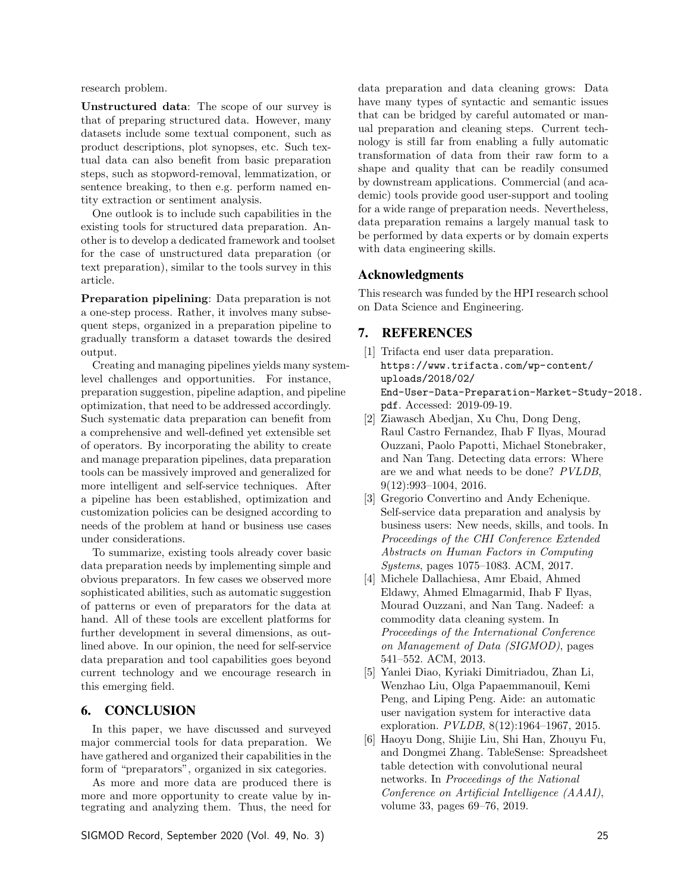research problem.

Unstructured data: The scope of our survey is that of preparing structured data. However, many datasets include some textual component, such as product descriptions, plot synopses, etc. Such textual data can also benefit from basic preparation steps, such as stopword-removal, lemmatization, or sentence breaking, to then e.g. perform named entity extraction or sentiment analysis.

One outlook is to include such capabilities in the existing tools for structured data preparation. Another is to develop a dedicated framework and toolset for the case of unstructured data preparation (or text preparation), similar to the tools survey in this article.

Preparation pipelining: Data preparation is not a one-step process. Rather, it involves many subsequent steps, organized in a preparation pipeline to gradually transform a dataset towards the desired output.

Creating and managing pipelines yields many systemlevel challenges and opportunities. For instance, preparation suggestion, pipeline adaption, and pipeline optimization, that need to be addressed accordingly. Such systematic data preparation can benefit from a comprehensive and well-defined yet extensible set of operators. By incorporating the ability to create and manage preparation pipelines, data preparation tools can be massively improved and generalized for more intelligent and self-service techniques. After a pipeline has been established, optimization and customization policies can be designed according to needs of the problem at hand or business use cases under considerations.

To summarize, existing tools already cover basic data preparation needs by implementing simple and obvious preparators. In few cases we observed more sophisticated abilities, such as automatic suggestion of patterns or even of preparators for the data at hand. All of these tools are excellent platforms for further development in several dimensions, as outlined above. In our opinion, the need for self-service data preparation and tool capabilities goes beyond current technology and we encourage research in this emerging field.

#### 6. CONCLUSION

In this paper, we have discussed and surveyed major commercial tools for data preparation. We have gathered and organized their capabilities in the form of "preparators", organized in six categories.

As more and more data are produced there is more and more opportunity to create value by integrating and analyzing them. Thus, the need for

data preparation and data cleaning grows: Data have many types of syntactic and semantic issues that can be bridged by careful automated or manual preparation and cleaning steps. Current technology is still far from enabling a fully automatic transformation of data from their raw form to a shape and quality that can be readily consumed by downstream applications. Commercial (and academic) tools provide good user-support and tooling for a wide range of preparation needs. Nevertheless, data preparation remains a largely manual task to be performed by data experts or by domain experts with data engineering skills.

#### Acknowledgments

This research was funded by the HPI research school on Data Science and Engineering.

## 7. REFERENCES

- [1] Trifacta end user data preparation. https://www.trifacta.com/wp-content/ uploads/2018/02/ End-User-Data-Preparation-Market-Study-2018. pdf. Accessed: 2019-09-19.
- [2] Ziawasch Abedjan, Xu Chu, Dong Deng, Raul Castro Fernandez, Ihab F Ilyas, Mourad Ouzzani, Paolo Papotti, Michael Stonebraker, and Nan Tang. Detecting data errors: Where are we and what needs to be done? *PVLDB*, 9(12):993–1004, 2016.
- [3] Gregorio Convertino and Andy Echenique. Self-service data preparation and analysis by business users: New needs, skills, and tools. In *Proceedings of the CHI Conference Extended Abstracts on Human Factors in Computing Systems*, pages 1075–1083. ACM, 2017.
- [4] Michele Dallachiesa, Amr Ebaid, Ahmed Eldawy, Ahmed Elmagarmid, Ihab F Ilyas, Mourad Ouzzani, and Nan Tang. Nadeef: a commodity data cleaning system. In *Proceedings of the International Conference on Management of Data (SIGMOD)*, pages 541–552. ACM, 2013.
- [5] Yanlei Diao, Kyriaki Dimitriadou, Zhan Li, Wenzhao Liu, Olga Papaemmanouil, Kemi Peng, and Liping Peng. Aide: an automatic user navigation system for interactive data exploration. *PVLDB*, 8(12):1964–1967, 2015.
- [6] Haoyu Dong, Shijie Liu, Shi Han, Zhouyu Fu, and Dongmei Zhang. TableSense: Spreadsheet table detection with convolutional neural networks. In *Proceedings of the National Conference on Artificial Intelligence (AAAI)*, volume 33, pages 69–76, 2019.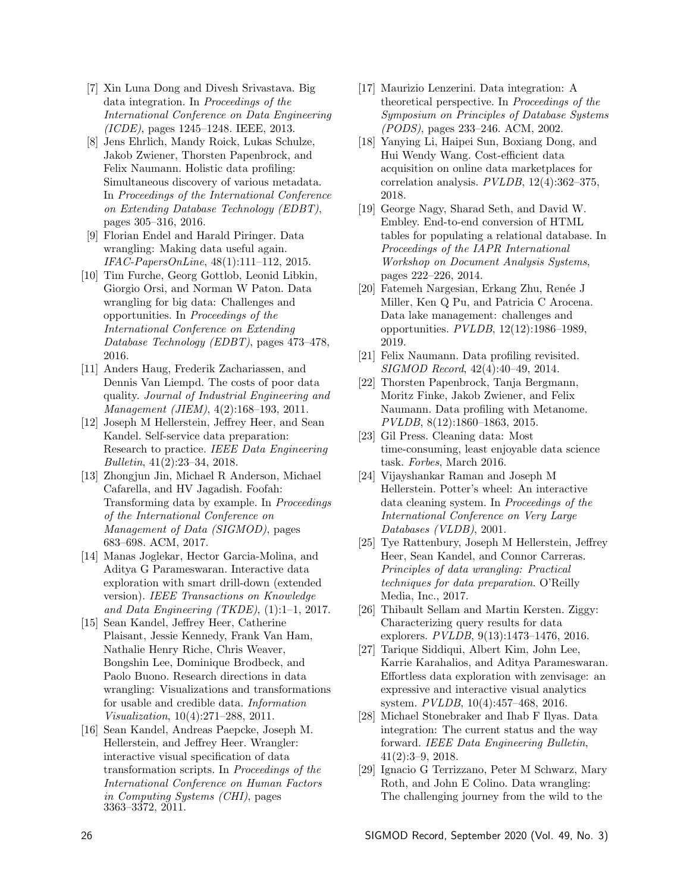- [7] Xin Luna Dong and Divesh Srivastava. Big data integration. In *Proceedings of the International Conference on Data Engineering (ICDE)*, pages 1245–1248. IEEE, 2013.
- [8] Jens Ehrlich, Mandy Roick, Lukas Schulze, Jakob Zwiener, Thorsten Papenbrock, and Felix Naumann. Holistic data profiling: Simultaneous discovery of various metadata. In *Proceedings of the International Conference on Extending Database Technology (EDBT)*, pages 305–316, 2016.
- [9] Florian Endel and Harald Piringer. Data wrangling: Making data useful again. *IFAC-PapersOnLine*, 48(1):111–112, 2015.
- [10] Tim Furche, Georg Gottlob, Leonid Libkin, Giorgio Orsi, and Norman W Paton. Data wrangling for big data: Challenges and opportunities. In *Proceedings of the International Conference on Extending Database Technology (EDBT)*, pages 473–478, 2016.
- [11] Anders Haug, Frederik Zachariassen, and Dennis Van Liempd. The costs of poor data quality. *Journal of Industrial Engineering and Management (JIEM)*, 4(2):168–193, 2011.
- [12] Joseph M Hellerstein, Jeffrey Heer, and Sean Kandel. Self-service data preparation: Research to practice. *IEEE Data Engineering Bulletin*, 41(2):23–34, 2018.
- [13] Zhongjun Jin, Michael R Anderson, Michael Cafarella, and HV Jagadish. Foofah: Transforming data by example. In *Proceedings of the International Conference on Management of Data (SIGMOD)*, pages 683–698. ACM, 2017.
- [14] Manas Joglekar, Hector Garcia-Molina, and Aditya G Parameswaran. Interactive data exploration with smart drill-down (extended version). *IEEE Transactions on Knowledge and Data Engineering (TKDE)*, (1):1–1, 2017.
- [15] Sean Kandel, Jeffrey Heer, Catherine Plaisant, Jessie Kennedy, Frank Van Ham, Nathalie Henry Riche, Chris Weaver, Bongshin Lee, Dominique Brodbeck, and Paolo Buono. Research directions in data wrangling: Visualizations and transformations for usable and credible data. *Information Visualization*, 10(4):271–288, 2011.
- [16] Sean Kandel, Andreas Paepcke, Joseph M. Hellerstein, and Jeffrey Heer. Wrangler: interactive visual specification of data transformation scripts. In *Proceedings of the International Conference on Human Factors in Computing Systems (CHI)*, pages 3363–3372, 2011.
- [17] Maurizio Lenzerini. Data integration: A theoretical perspective. In *Proceedings of the Symposium on Principles of Database Systems (PODS)*, pages 233–246. ACM, 2002.
- [18] Yanying Li, Haipei Sun, Boxiang Dong, and Hui Wendy Wang. Cost-efficient data acquisition on online data marketplaces for correlation analysis. *PVLDB*, 12(4):362–375, 2018.
- [19] George Nagy, Sharad Seth, and David W. Embley. End-to-end conversion of HTML tables for populating a relational database. In *Proceedings of the IAPR International Workshop on Document Analysis Systems*, pages 222–226, 2014.
- [20] Fatemeh Nargesian, Erkang Zhu, Renée J Miller, Ken Q Pu, and Patricia C Arocena. Data lake management: challenges and opportunities. *PVLDB*, 12(12):1986–1989, 2019.
- [21] Felix Naumann. Data profiling revisited. *SIGMOD Record*, 42(4):40–49, 2014.
- [22] Thorsten Papenbrock, Tanja Bergmann, Moritz Finke, Jakob Zwiener, and Felix Naumann. Data profiling with Metanome. *PVLDB*, 8(12):1860–1863, 2015.
- [23] Gil Press. Cleaning data: Most time-consuming, least enjoyable data science task. *Forbes*, March 2016.
- [24] Vijayshankar Raman and Joseph M Hellerstein. Potter's wheel: An interactive data cleaning system. In *Proceedings of the International Conference on Very Large Databases (VLDB)*, 2001.
- [25] Tye Rattenbury, Joseph M Hellerstein, Jeffrey Heer, Sean Kandel, and Connor Carreras. *Principles of data wrangling: Practical techniques for data preparation*. O'Reilly Media, Inc., 2017.
- [26] Thibault Sellam and Martin Kersten. Ziggy: Characterizing query results for data explorers. *PVLDB*, 9(13):1473–1476, 2016.
- [27] Tarique Siddiqui, Albert Kim, John Lee, Karrie Karahalios, and Aditya Parameswaran. Effortless data exploration with zenvisage: an expressive and interactive visual analytics system. *PVLDB*, 10(4):457–468, 2016.
- [28] Michael Stonebraker and Ihab F Ilyas. Data integration: The current status and the way forward. *IEEE Data Engineering Bulletin*, 41(2):3–9, 2018.
- [29] Ignacio G Terrizzano, Peter M Schwarz, Mary Roth, and John E Colino. Data wrangling: The challenging journey from the wild to the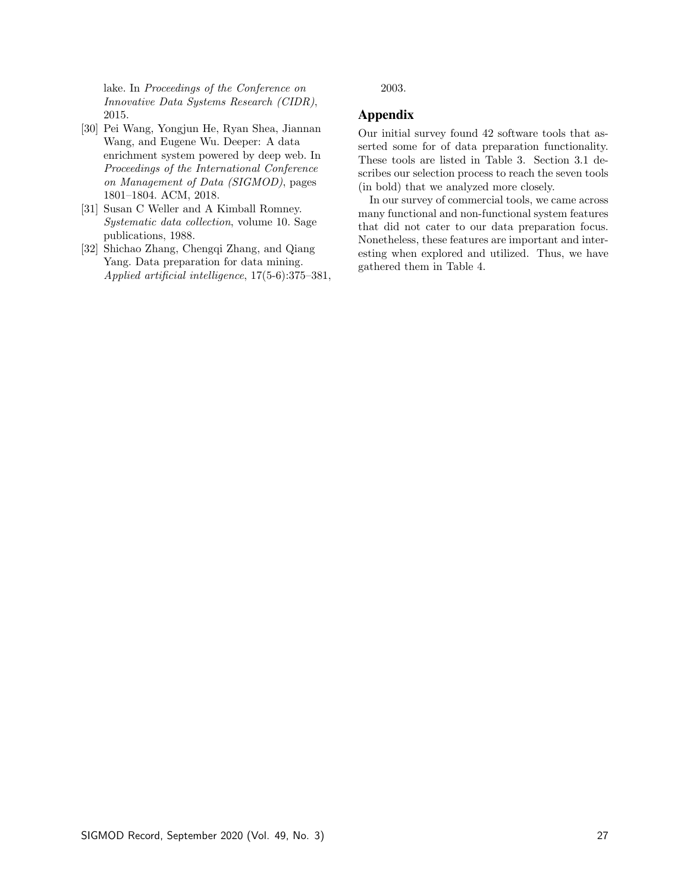lake. In *Proceedings of the Conference on Innovative Data Systems Research (CIDR)*, 2015.

- [30] Pei Wang, Yongjun He, Ryan Shea, Jiannan Wang, and Eugene Wu. Deeper: A data enrichment system powered by deep web. In *Proceedings of the International Conference on Management of Data (SIGMOD)*, pages 1801–1804. ACM, 2018.
- [31] Susan C Weller and A Kimball Romney. *Systematic data collection*, volume 10. Sage publications, 1988.
- [32] Shichao Zhang, Chengqi Zhang, and Qiang Yang. Data preparation for data mining. *Applied artificial intelligence*, 17(5-6):375–381,

2003.

# Appendix

Our initial survey found 42 software tools that asserted some for of data preparation functionality. These tools are listed in Table 3. Section 3.1 describes our selection process to reach the seven tools (in bold) that we analyzed more closely.

In our survey of commercial tools, we came across many functional and non-functional system features that did not cater to our data preparation focus. Nonetheless, these features are important and interesting when explored and utilized. Thus, we have gathered them in Table 4.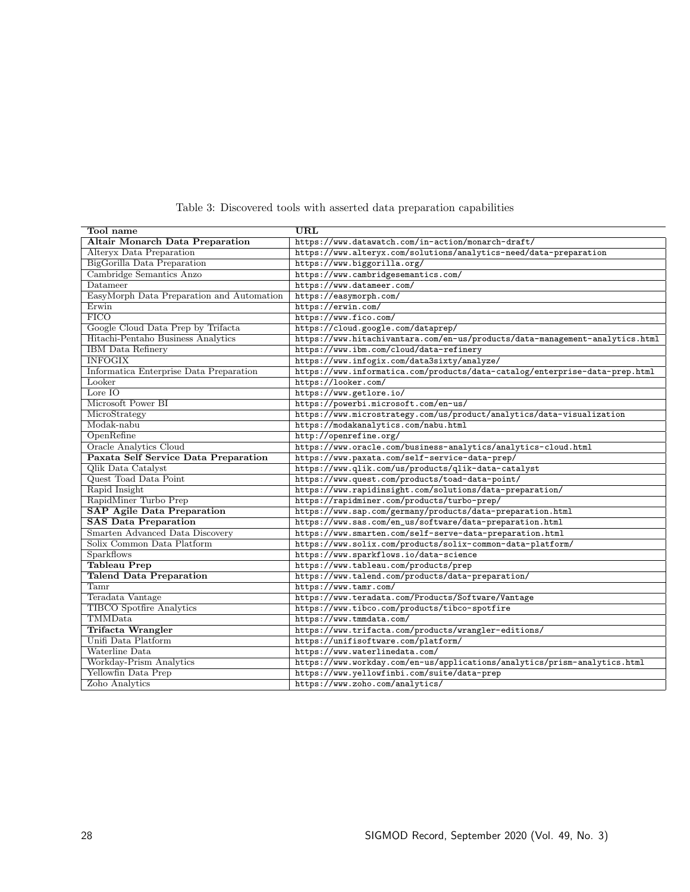| Tool name                                 | URL                                                                          |
|-------------------------------------------|------------------------------------------------------------------------------|
| <b>Altair Monarch Data Preparation</b>    | https://www.datawatch.com/in-action/monarch-draft/                           |
| Alteryx Data Preparation                  | https://www.alteryx.com/solutions/analytics-need/data-preparation            |
| BigGorilla Data Preparation               | https://www.biggorilla.org/                                                  |
| Cambridge Semantics Anzo                  | https://www.cambridgesemantics.com/                                          |
| Datameer                                  | https://www.datameer.com/                                                    |
| EasyMorph Data Preparation and Automation | https://easymorph.com/                                                       |
| Erwin                                     | https://erwin.com/                                                           |
| <b>FICO</b>                               | https://www.fico.com/                                                        |
| Google Cloud Data Prep by Trifacta        | https://cloud.google.com/dataprep/                                           |
| Hitachi-Pentaho Business Analytics        | https://www.hitachivantara.com/en-us/products/data-management-analytics.html |
| <b>IBM</b> Data Refinery                  | https://www.ibm.com/cloud/data-refinery                                      |
| <b>INFOGIX</b>                            | https://www.infogix.com/data3sixty/analyze/                                  |
| Informatica Enterprise Data Preparation   | https://www.informatica.com/products/data-catalog/enterprise-data-prep.html  |
| Looker                                    | https://looker.com/                                                          |
| Lore $IO$                                 | https://www.getlore.io/                                                      |
| Microsoft Power BI                        | https://powerbi.microsoft.com/en-us/                                         |
| MicroStrategy                             | https://www.microstrategy.com/us/product/analytics/data-visualization        |
| Modak-nabu                                | https://modakanalytics.com/nabu.html                                         |
| OpenRefine                                | http://openrefine.org/                                                       |
| <b>Oracle Analytics Cloud</b>             | https://www.oracle.com/business-analytics/analytics-cloud.html               |
| Paxata Self Service Data Preparation      | https://www.paxata.com/self-service-data-prep/                               |
| Qlik Data Catalyst                        | https://www.qlik.com/us/products/qlik-data-catalyst                          |
| Quest Toad Data Point                     | https://www.quest.com/products/toad-data-point/                              |
| Rapid Insight                             | https://www.rapidinsight.com/solutions/data-preparation/                     |
| RapidMiner Turbo Prep                     | https://rapidminer.com/products/turbo-prep/                                  |
| <b>SAP Agile Data Preparation</b>         | https://www.sap.com/germany/products/data-preparation.html                   |
| <b>SAS Data Preparation</b>               | https://www.sas.com/en_us/software/data-preparation.html                     |
| Smarten Advanced Data Discovery           | https://www.smarten.com/self-serve-data-preparation.html                     |
| Solix Common Data Platform                | https://www.solix.com/products/solix-common-data-platform/                   |
| Sparkflows                                | https://www.sparkflows.io/data-science                                       |
| <b>Tableau Prep</b>                       | https://www.tableau.com/products/prep                                        |
| <b>Talend Data Preparation</b>            | https://www.talend.com/products/data-preparation/                            |
| Tamr                                      | https://www.tamr.com/                                                        |
| Teradata Vantage                          | https://www.teradata.com/Products/Software/Vantage                           |
| <b>TIBCO</b> Spotfire Analytics           | https://www.tibco.com/products/tibco-spotfire                                |
| TMMData                                   | https://www.tmmdata.com/                                                     |
| <b>Trifacta Wrangler</b>                  | https://www.trifacta.com/products/wrangler-editions/                         |
| Unifi Data Platform                       | https://unifisoftware.com/platform/                                          |
| Waterline Data                            | https://www.waterlinedata.com/                                               |
| Workday-Prism Analytics                   | https://www.workday.com/en-us/applications/analytics/prism-analytics.html    |
| Yellowfin Data Prep                       | https://www.yellowfinbi.com/suite/data-prep                                  |
| Zoho Analytics                            | https://www.zoho.com/analytics/                                              |

Table 3: Discovered tools with asserted data preparation capabilities